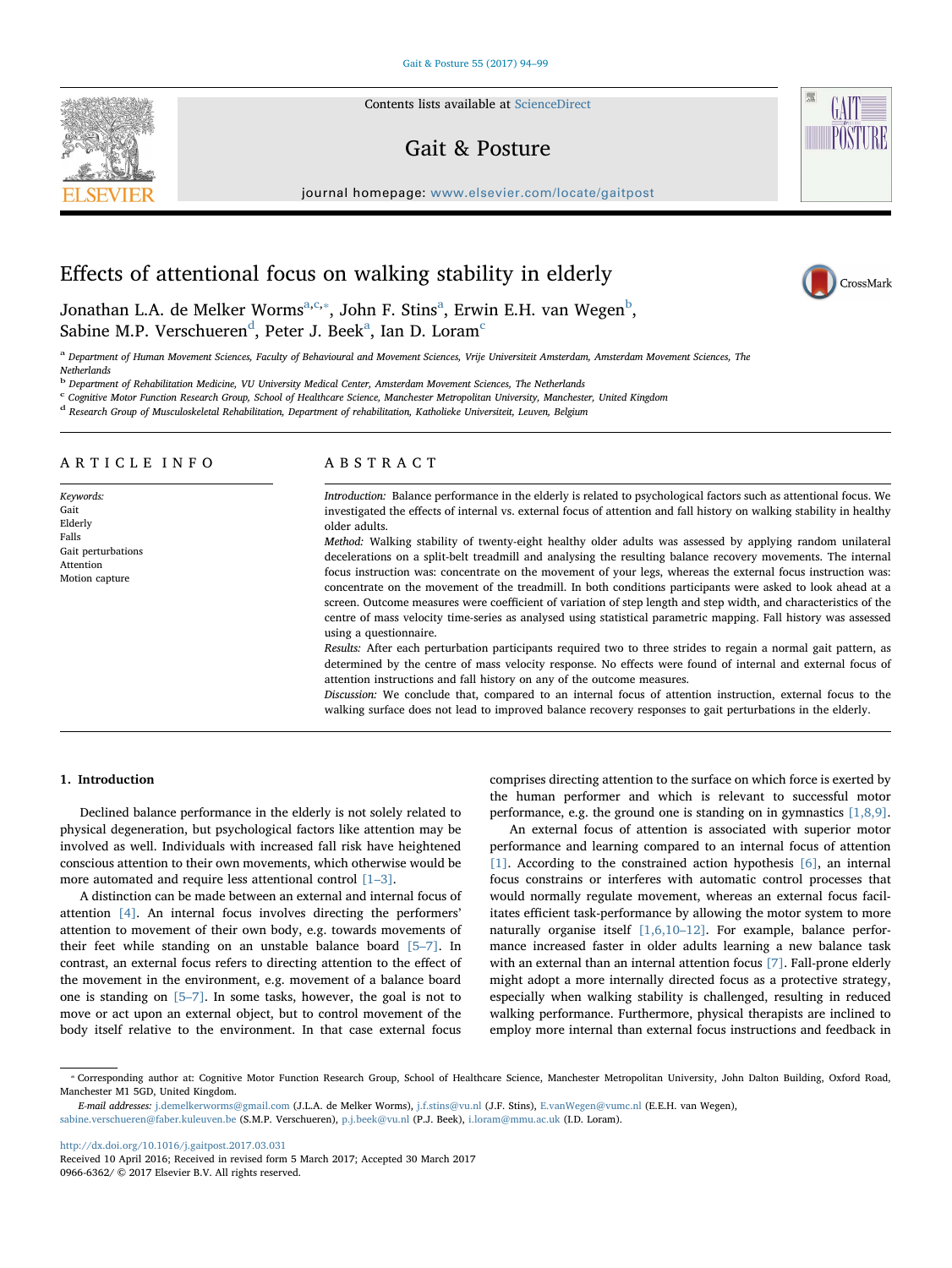Contents lists available at [ScienceDirect](http://www.sciencedirect.com/science/journal/09666362)

# Gait & Posture



journal homepage: [www.elsevier.com/locate/gaitpost](http://www.elsevier.com/locate/gaitpost)

# Effects of attentional focus on walking stability in elderly



Jon[a](#page-0-0)than L.A. de Melker Worms $^{\mathrm{a,c},*},$  $^{\mathrm{a,c},*},$  $^{\mathrm{a,c},*},$  John F. Stins $^{\mathrm{a}}$ , Erwin E.H. van Wegen $^{\mathrm{b}},$  $^{\mathrm{b}},$  $^{\mathrm{b}},$ S[a](#page-0-0)bine M.P. Vers[c](#page-0-1)hueren $^{\rm d}$  $^{\rm d}$  $^{\rm d}$ , Peter J. Beek $^{\rm a}$ , Ian D. Loram $^{\rm c}$ 

<span id="page-0-0"></span><sup>a</sup> Department of Human Movement Sciences, Faculty of Behavioural and Movement Sciences, Vrije Universiteit Amsterdam, Amsterdam Movement Sciences, The **Netherlands** 

<span id="page-0-3"></span><sup>b</sup> Department of Rehabilitation Medicine, VU University Medical Center, Amsterdam Movement Sciences, The Netherlands

<span id="page-0-1"></span><sup>c</sup> Cognitive Motor Function Research Group, School of Healthcare Science, Manchester Metropolitan University, Manchester, United Kingdom

<span id="page-0-4"></span><sup>d</sup> Research Group of Musculoskeletal Rehabilitation, Department of rehabilitation, Katholieke Universiteit, Leuven, Belgium

# ARTICLE INFO

Keywords: Gait Elderly Falls Gait perturbations Attention Motion capture

# ABSTRACT

Introduction: Balance performance in the elderly is related to psychological factors such as attentional focus. We investigated the effects of internal vs. external focus of attention and fall history on walking stability in healthy older adults.

Method: Walking stability of twenty-eight healthy older adults was assessed by applying random unilateral decelerations on a split-belt treadmill and analysing the resulting balance recovery movements. The internal focus instruction was: concentrate on the movement of your legs, whereas the external focus instruction was: concentrate on the movement of the treadmill. In both conditions participants were asked to look ahead at a screen. Outcome measures were coefficient of variation of step length and step width, and characteristics of the centre of mass velocity time-series as analysed using statistical parametric mapping. Fall history was assessed using a questionnaire.

Results: After each perturbation participants required two to three strides to regain a normal gait pattern, as determined by the centre of mass velocity response. No effects were found of internal and external focus of attention instructions and fall history on any of the outcome measures.

Discussion: We conclude that, compared to an internal focus of attention instruction, external focus to the walking surface does not lead to improved balance recovery responses to gait perturbations in the elderly.

#### 1. Introduction

Declined balance performance in the elderly is not solely related to physical degeneration, but psychological factors like attention may be involved as well. Individuals with increased fall risk have heightened conscious attention to their own movements, which otherwise would be more automated and require less attentional control [\[1](#page-5-0)–3].

A distinction can be made between an external and internal focus of attention [\[4\]](#page-5-1). An internal focus involves directing the performers' attention to movement of their own body, e.g. towards movements of their feet while standing on an unstable balance board [5–[7\].](#page-5-2) In contrast, an external focus refers to directing attention to the effect of the movement in the environment, e.g. movement of a balance board one is standing on [\[5](#page-5-2)–7]. In some tasks, however, the goal is not to move or act upon an external object, but to control movement of the body itself relative to the environment. In that case external focus

comprises directing attention to the surface on which force is exerted by the human performer and which is relevant to successful motor performance, e.g. the ground one is standing on in gymnastics  $[1,8,9]$ .

An external focus of attention is associated with superior motor performance and learning compared to an internal focus of attention [\[1\].](#page-5-0) According to the constrained action hypothesis [\[6\],](#page-5-3) an internal focus constrains or interferes with automatic control processes that would normally regulate movement, whereas an external focus facilitates efficient task-performance by allowing the motor system to more naturally organise itself [\[1,6,10](#page-5-0)–12]. For example, balance performance increased faster in older adults learning a new balance task with an external than an internal attention focus [\[7\].](#page-5-4) Fall-prone elderly might adopt a more internally directed focus as a protective strategy, especially when walking stability is challenged, resulting in reduced walking performance. Furthermore, physical therapists are inclined to employ more internal than external focus instructions and feedback in

<http://dx.doi.org/10.1016/j.gaitpost.2017.03.031>

<span id="page-0-2"></span><sup>⁎</sup> Corresponding author at: Cognitive Motor Function Research Group, School of Healthcare Science, Manchester Metropolitan University, John Dalton Building, Oxford Road, Manchester M1 5GD, United Kingdom.

E-mail addresses: [j.demelkerworms@gmail.com](mailto:j.demelkerworms@gmail.com) (J.L.A. de Melker Worms), [j.f.stins@vu.nl](mailto:j.f.stins@vu.nl) (J.F. Stins), [E.vanWegen@vumc.nl](mailto:E.vanWegen@vumc.nl) (E.E.H. van Wegen), [sabine.verschueren@faber.kuleuven.be](mailto:sabine.verschueren@faber.kuleuven.be) (S.M.P. Verschueren), [p.j.beek@vu.nl](mailto:p.j.beek@vu.nl) (P.J. Beek), [i.loram@mmu.ac.uk](mailto:i.loram@mmu.ac.uk) (I.D. Loram).

Received 10 April 2016; Received in revised form 5 March 2017; Accepted 30 March 2017 0966-6362/ © 2017 Elsevier B.V. All rights reserved.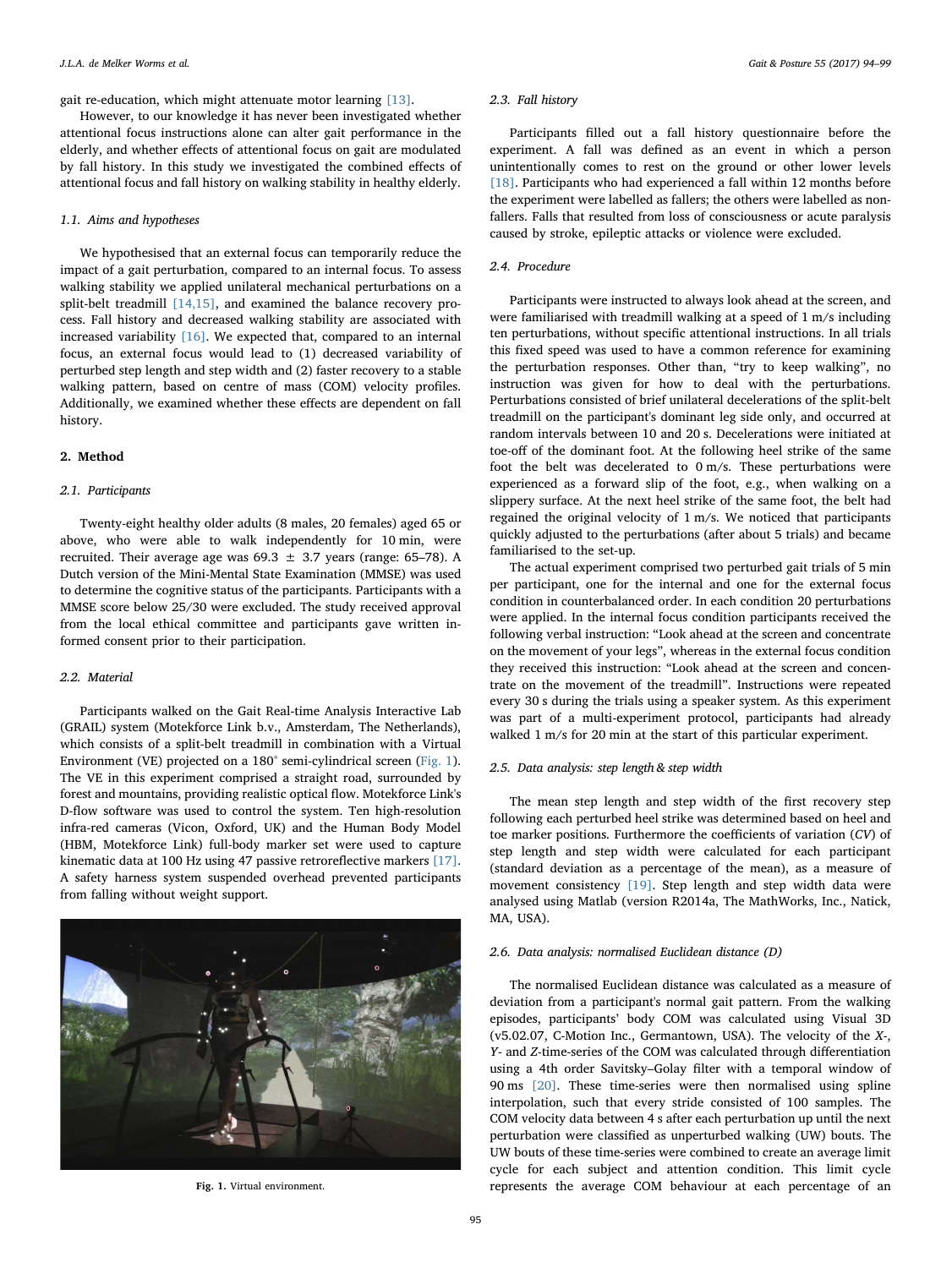gait re-education, which might attenuate motor learning [\[13\]](#page-5-5).

However, to our knowledge it has never been investigated whether attentional focus instructions alone can alter gait performance in the elderly, and whether effects of attentional focus on gait are modulated by fall history. In this study we investigated the combined effects of attentional focus and fall history on walking stability in healthy elderly.

# 1.1. Aims and hypotheses

We hypothesised that an external focus can temporarily reduce the impact of a gait perturbation, compared to an internal focus. To assess walking stability we applied unilateral mechanical perturbations on a split-belt treadmill [\[14,15\],](#page-5-6) and examined the balance recovery process. Fall history and decreased walking stability are associated with increased variability [\[16\].](#page-5-7) We expected that, compared to an internal focus, an external focus would lead to (1) decreased variability of perturbed step length and step width and (2) faster recovery to a stable walking pattern, based on centre of mass (COM) velocity profiles. Additionally, we examined whether these effects are dependent on fall history.

# 2. Method

#### 2.1. Participants

Twenty-eight healthy older adults (8 males, 20 females) aged 65 or above, who were able to walk independently for 10 min, were recruited. Their average age was  $69.3 \pm 3.7$  years (range: 65–78). A Dutch version of the Mini-Mental State Examination (MMSE) was used to determine the cognitive status of the participants. Participants with a MMSE score below 25/30 were excluded. The study received approval from the local ethical committee and participants gave written informed consent prior to their participation.

#### 2.2. Material

Participants walked on the Gait Real-time Analysis Interactive Lab (GRAIL) system (Motekforce Link b.v., Amsterdam, The Netherlands), which consists of a split-belt treadmill in combination with a Virtual Environment (VE) projected on a 180° semi-cylindrical screen [\(Fig. 1](#page-1-0)). The VE in this experiment comprised a straight road, surrounded by forest and mountains, providing realistic optical flow. Motekforce Link's D-flow software was used to control the system. Ten high-resolution infra-red cameras (Vicon, Oxford, UK) and the Human Body Model (HBM, Motekforce Link) full-body marker set were used to capture kinematic data at 100 Hz using 47 passive retroreflective markers [\[17\]](#page-5-8). A safety harness system suspended overhead prevented participants from falling without weight support.

<span id="page-1-0"></span>

#### 2.3. Fall history

Participants filled out a fall history questionnaire before the experiment. A fall was defined as an event in which a person unintentionally comes to rest on the ground or other lower levels [\[18\]](#page-5-9). Participants who had experienced a fall within 12 months before the experiment were labelled as fallers; the others were labelled as nonfallers. Falls that resulted from loss of consciousness or acute paralysis caused by stroke, epileptic attacks or violence were excluded.

#### 2.4. Procedure

Participants were instructed to always look ahead at the screen, and were familiarised with treadmill walking at a speed of 1 m/s including ten perturbations, without specific attentional instructions. In all trials this fixed speed was used to have a common reference for examining the perturbation responses. Other than, "try to keep walking", no instruction was given for how to deal with the perturbations. Perturbations consisted of brief unilateral decelerations of the split-belt treadmill on the participant's dominant leg side only, and occurred at random intervals between 10 and 20 s. Decelerations were initiated at toe-off of the dominant foot. At the following heel strike of the same foot the belt was decelerated to 0 m/s. These perturbations were experienced as a forward slip of the foot, e.g., when walking on a slippery surface. At the next heel strike of the same foot, the belt had regained the original velocity of 1 m/s. We noticed that participants quickly adjusted to the perturbations (after about 5 trials) and became familiarised to the set-up.

The actual experiment comprised two perturbed gait trials of 5 min per participant, one for the internal and one for the external focus condition in counterbalanced order. In each condition 20 perturbations were applied. In the internal focus condition participants received the following verbal instruction: "Look ahead at the screen and concentrate on the movement of your legs", whereas in the external focus condition they received this instruction: "Look ahead at the screen and concentrate on the movement of the treadmill". Instructions were repeated every 30 s during the trials using a speaker system. As this experiment was part of a multi-experiment protocol, participants had already walked 1 m/s for 20 min at the start of this particular experiment.

# 2.5. Data analysis: step length & step width

The mean step length and step width of the first recovery step following each perturbed heel strike was determined based on heel and toe marker positions. Furthermore the coefficients of variation (CV) of step length and step width were calculated for each participant (standard deviation as a percentage of the mean), as a measure of movement consistency [\[19\]](#page-5-10). Step length and step width data were analysed using Matlab (version R2014a, The MathWorks, Inc., Natick, MA, USA).

# 2.6. Data analysis: normalised Euclidean distance (D)

The normalised Euclidean distance was calculated as a measure of deviation from a participant's normal gait pattern. From the walking episodes, participants' body COM was calculated using Visual 3D (v5.02.07, C-Motion Inc., Germantown, USA). The velocity of the X-, Y- and Z-time-series of the COM was calculated through differentiation using a 4th order Savitsky–Golay filter with a temporal window of 90 ms [\[20\]](#page-5-11). These time-series were then normalised using spline interpolation, such that every stride consisted of 100 samples. The COM velocity data between 4 s after each perturbation up until the next perturbation were classified as unperturbed walking (UW) bouts. The UW bouts of these time-series were combined to create an average limit cycle for each subject and attention condition. This limit cycle Fig. 1. Virtual environment. The represents the average COM behaviour at each percentage of an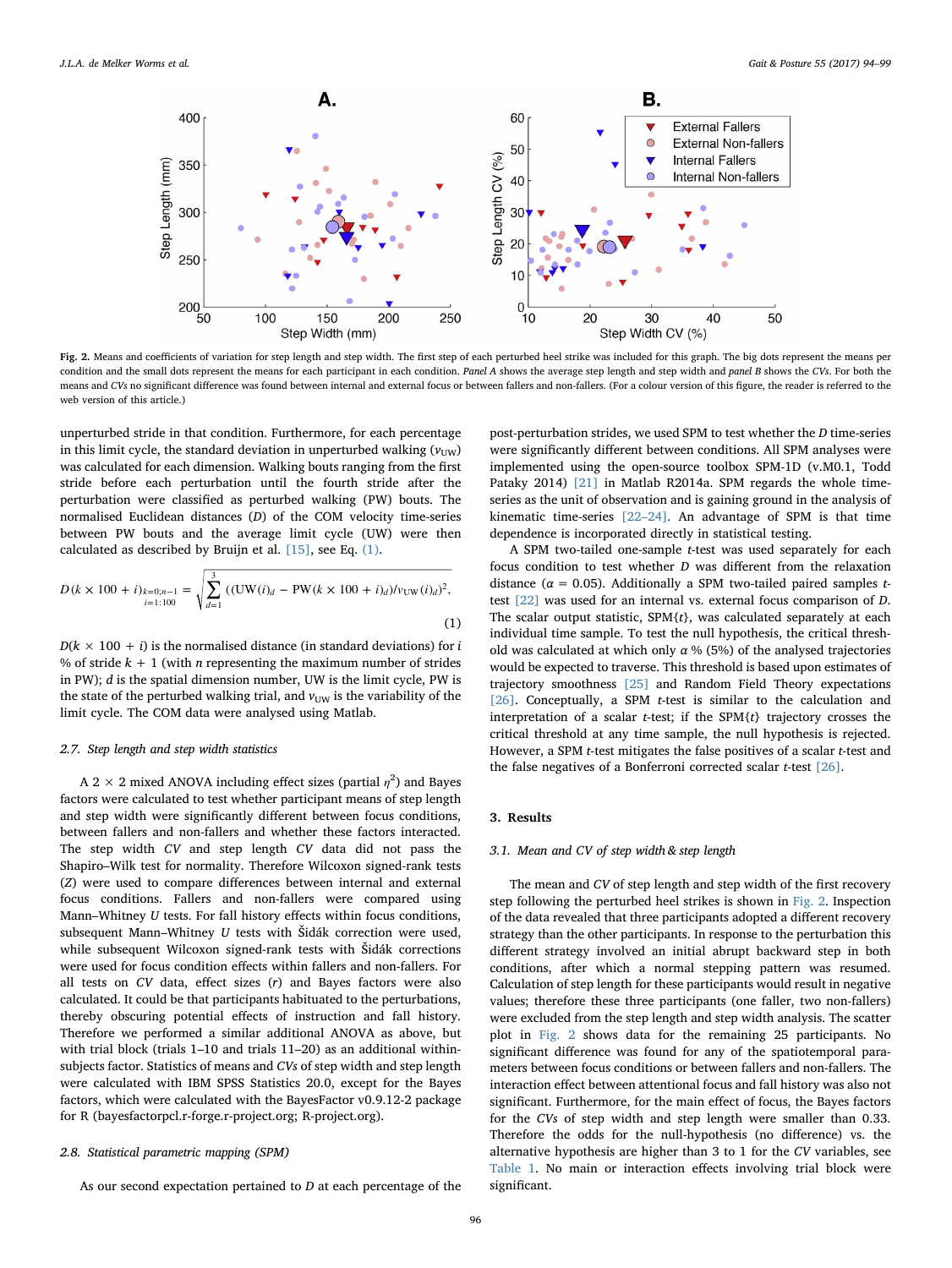<span id="page-2-1"></span>

Fig. 2. Means and coefficients of variation for step length and step width. The first step of each perturbed heel strike was included for this graph. The big dots represent the means per condition and the small dots represent the means for each participant in each condition. Panel A shows the average step length and step width and panel B shows the CVs. For both the means and CVs no significant difference was found between internal and external focus or between fallers and non-fallers. (For a colour version of this figure, the reader is referred to the web version of this article.)

unperturbed stride in that condition. Furthermore, for each percentage in this limit cycle, the standard deviation in unperturbed walking  $(v_{UW})$ was calculated for each dimension. Walking bouts ranging from the first stride before each perturbation until the fourth stride after the perturbation were classified as perturbed walking (PW) bouts. The normalised Euclidean distances (D) of the COM velocity time-series between PW bouts and the average limit cycle (UW) were then calculated as described by Bruijn et al. [\[15\]](#page-5-12), see Eq. [\(1\)](#page-2-0).

<span id="page-2-0"></span>
$$
D(k \times 100 + i)_{k=0;n-1} = \sqrt{\sum_{d=1}^{3} ((\text{UW}(i)_d - \text{PW}(k \times 100 + i)_d) / v_{\text{UW}}(i)_d)^2},
$$
\n(1)

 $D(k \times 100 + i)$  is the normalised distance (in standard deviations) for i % of stride  $k + 1$  (with *n* representing the maximum number of strides in PW); d is the spatial dimension number, UW is the limit cycle, PW is the state of the perturbed walking trial, and  $v_{\text{UW}}$  is the variability of the limit cycle. The COM data were analysed using Matlab.

### 2.7. Step length and step width statistics

A 2  $\times$  2 mixed ANOVA including effect sizes (partial  $\eta^2$ ) and Bayes factors were calculated to test whether participant means of step length and step width were significantly different between focus conditions, between fallers and non-fallers and whether these factors interacted. The step width CV and step length CV data did not pass the Shapiro–Wilk test for normality. Therefore Wilcoxon signed-rank tests (Z) were used to compare differences between internal and external focus conditions. Fallers and non-fallers were compared using Mann–Whitney U tests. For fall history effects within focus conditions, subsequent Mann–Whitney  $U$  tests with Šidák correction were used, while subsequent Wilcoxon signed-rank tests with Šidák corrections were used for focus condition effects within fallers and non-fallers. For all tests on  $CV$  data, effect sizes  $(r)$  and Bayes factors were also calculated. It could be that participants habituated to the perturbations, thereby obscuring potential effects of instruction and fall history. Therefore we performed a similar additional ANOVA as above, but with trial block (trials 1–10 and trials 11–20) as an additional withinsubjects factor. Statistics of means and CVs of step width and step length were calculated with IBM SPSS Statistics 20.0, except for the Bayes factors, which were calculated with the BayesFactor v0.9.12-2 package for R (bayesfactorpcl.r-forge.r-project.org; R-project.org).

#### 2.8. Statistical parametric mapping (SPM)

As our second expectation pertained to D at each percentage of the

post-perturbation strides, we used SPM to test whether the D time-series were significantly different between conditions. All SPM analyses were implemented using the open-source toolbox SPM-1D (v.M0.1, Todd Pataky 2014) [\[21\]](#page-5-13) in Matlab R2014a. SPM regards the whole timeseries as the unit of observation and is gaining ground in the analysis of kinematic time-series [22–[24\].](#page-5-14) An advantage of SPM is that time dependence is incorporated directly in statistical testing.

A SPM two-tailed one-sample t-test was used separately for each focus condition to test whether D was different from the relaxation distance ( $\alpha = 0.05$ ). Additionally a SPM two-tailed paired samples ttest [\[22\]](#page-5-14) was used for an internal vs. external focus comparison of D. The scalar output statistic,  $SPM{t}$ , was calculated separately at each individual time sample. To test the null hypothesis, the critical threshold was calculated at which only  $\alpha$  % (5%) of the analysed trajectories would be expected to traverse. This threshold is based upon estimates of trajectory smoothness [\[25\]](#page-5-15) and Random Field Theory expectations [\[26\]](#page-5-16). Conceptually, a SPM t-test is similar to the calculation and interpretation of a scalar t-test; if the SPM{t} trajectory crosses the critical threshold at any time sample, the null hypothesis is rejected. However, a SPM t-test mitigates the false positives of a scalar t-test and the false negatives of a Bonferroni corrected scalar  $t$ -test  $[26]$ .

# 3. Results

# 3.1. Mean and CV of step width & step length

The mean and CV of step length and step width of the first recovery step following the perturbed heel strikes is shown in [Fig. 2](#page-2-1). Inspection of the data revealed that three participants adopted a different recovery strategy than the other participants. In response to the perturbation this different strategy involved an initial abrupt backward step in both conditions, after which a normal stepping pattern was resumed. Calculation of step length for these participants would result in negative values; therefore these three participants (one faller, two non-fallers) were excluded from the step length and step width analysis. The scatter plot in [Fig. 2](#page-2-1) shows data for the remaining 25 participants. No significant difference was found for any of the spatiotemporal parameters between focus conditions or between fallers and non-fallers. The interaction effect between attentional focus and fall history was also not significant. Furthermore, for the main effect of focus, the Bayes factors for the CVs of step width and step length were smaller than 0.33. Therefore the odds for the null-hypothesis (no difference) vs. the alternative hypothesis are higher than 3 to 1 for the CV variables, see [Table 1](#page-3-0). No main or interaction effects involving trial block were significant.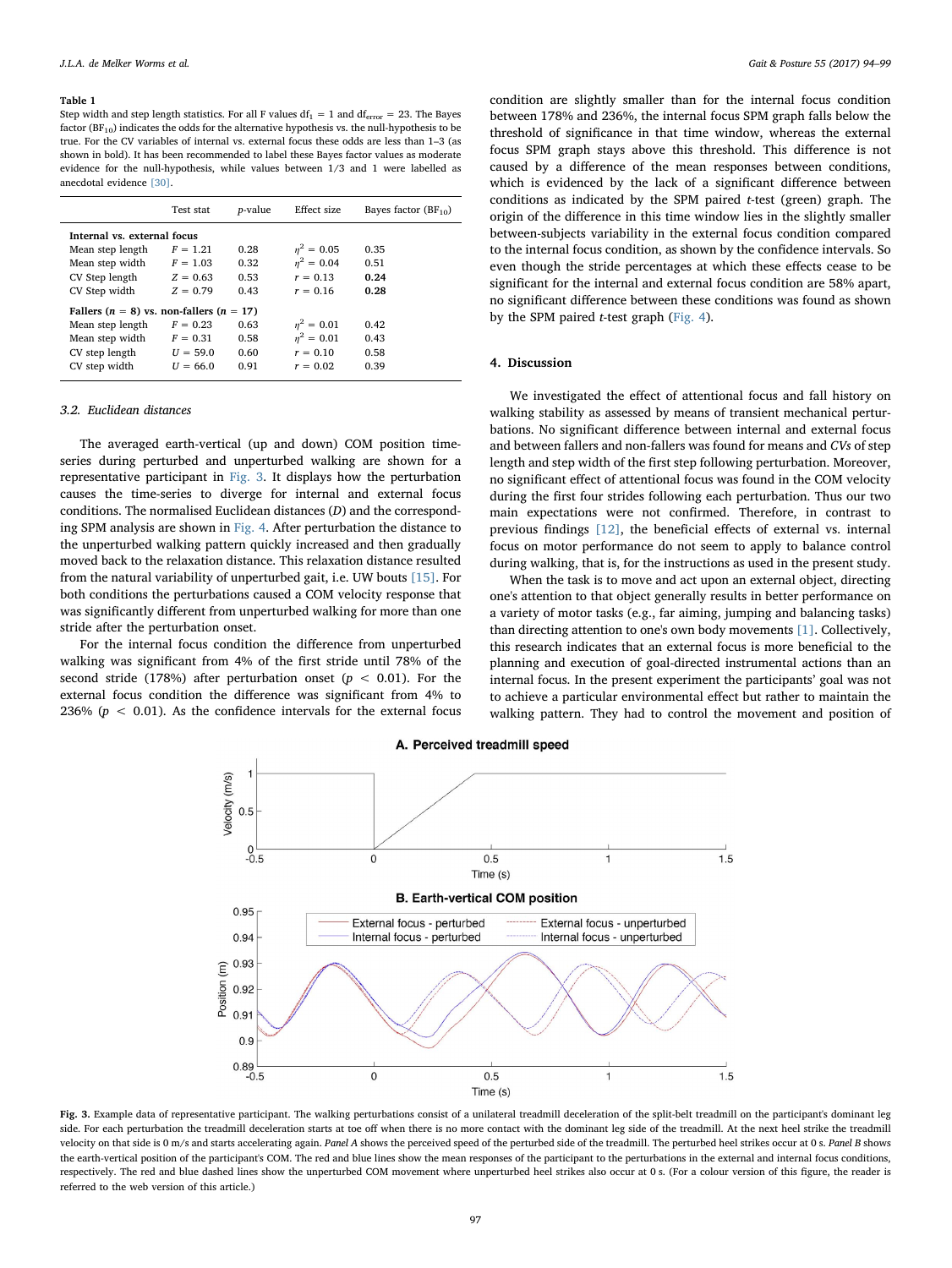#### <span id="page-3-0"></span>Table 1

Step width and step length statistics. For all F values  $df_1 = 1$  and  $df_{error} = 23$ . The Bayes factor ( $BF_{10}$ ) indicates the odds for the alternative hypothesis vs. the null-hypothesis to be true. For the CV variables of internal vs. external focus these odds are less than 1–3 (as shown in bold). It has been recommended to label these Bayes factor values as moderate evidence for the null-hypothesis, while values between 1/3 and 1 were labelled as anecdotal evidence [\[30\].](#page-5-18)

|                                                  | Test stat  | <i>p</i> -value | Effect size  | Bayes factor $(BF_{10})$ |
|--------------------------------------------------|------------|-----------------|--------------|--------------------------|
| Internal vs. external focus                      |            |                 |              |                          |
| Mean step length                                 | $F = 1.21$ | 0.28            | $n^2 = 0.05$ | 0.35                     |
| Mean step width                                  | $F = 1.03$ | 0.32            | $n^2 = 0.04$ | 0.51                     |
| CV Step length                                   | $Z = 0.63$ | 0.53            | $r = 0.13$   | 0.24                     |
| CV Step width                                    | $Z = 0.79$ | 0.43            | $r = 0.16$   | 0.28                     |
| Fallers ( $n = 8$ ) vs. non-fallers ( $n = 17$ ) |            |                 |              |                          |
| Mean step length                                 | $F = 0.23$ | 0.63            | $n^2 = 0.01$ | 0.42                     |
| Mean step width                                  | $F = 0.31$ | 0.58            | $n^2 = 0.01$ | 0.43                     |
| CV step length                                   | $U = 59.0$ | 0.60            | $r = 0.10$   | 0.58                     |
| CV step width                                    | $U = 66.0$ | 0.91            | $r = 0.02$   | 0.39                     |
|                                                  |            |                 |              |                          |

#### 3.2. Euclidean distances

The averaged earth-vertical (up and down) COM position timeseries during perturbed and unperturbed walking are shown for a representative participant in [Fig. 3.](#page-3-1) It displays how the perturbation causes the time-series to diverge for internal and external focus conditions. The normalised Euclidean distances (D) and the corresponding SPM analysis are shown in [Fig. 4](#page-4-0). After perturbation the distance to the unperturbed walking pattern quickly increased and then gradually moved back to the relaxation distance. This relaxation distance resulted from the natural variability of unperturbed gait, i.e. UW bouts [\[15\].](#page-5-12) For both conditions the perturbations caused a COM velocity response that was significantly different from unperturbed walking for more than one stride after the perturbation onset.

<span id="page-3-1"></span>For the internal focus condition the difference from unperturbed walking was significant from 4% of the first stride until 78% of the second stride (178%) after perturbation onset ( $p < 0.01$ ). For the external focus condition the difference was significant from 4% to 236% ( $p < 0.01$ ). As the confidence intervals for the external focus

condition are slightly smaller than for the internal focus condition between 178% and 236%, the internal focus SPM graph falls below the threshold of significance in that time window, whereas the external focus SPM graph stays above this threshold. This difference is not caused by a difference of the mean responses between conditions, which is evidenced by the lack of a significant difference between conditions as indicated by the SPM paired t-test (green) graph. The origin of the difference in this time window lies in the slightly smaller between-subjects variability in the external focus condition compared to the internal focus condition, as shown by the confidence intervals. So even though the stride percentages at which these effects cease to be significant for the internal and external focus condition are 58% apart, no significant difference between these conditions was found as shown by the SPM paired  $t$ -test graph [\(Fig. 4\)](#page-4-0).

# 4. Discussion

We investigated the effect of attentional focus and fall history on walking stability as assessed by means of transient mechanical perturbations. No significant difference between internal and external focus and between fallers and non-fallers was found for means and CVs of step length and step width of the first step following perturbation. Moreover, no significant effect of attentional focus was found in the COM velocity during the first four strides following each perturbation. Thus our two main expectations were not confirmed. Therefore, in contrast to previous findings [\[12\]](#page-5-17), the beneficial effects of external vs. internal focus on motor performance do not seem to apply to balance control during walking, that is, for the instructions as used in the present study.

When the task is to move and act upon an external object, directing one's attention to that object generally results in better performance on a variety of motor tasks (e.g., far aiming, jumping and balancing tasks) than directing attention to one's own body movements [\[1\].](#page-5-0) Collectively, this research indicates that an external focus is more beneficial to the planning and execution of goal-directed instrumental actions than an internal focus. In the present experiment the participants' goal was not to achieve a particular environmental effect but rather to maintain the walking pattern. They had to control the movement and position of



Fig. 3. Example data of representative participant. The walking perturbations consist of a unilateral treadmill deceleration of the split-belt treadmill on the participant's dominant leg side. For each perturbation the treadmill deceleration starts at toe off when there is no more contact with the dominant leg side of the treadmill. At the next heel strike the treadmill velocity on that side is 0 m/s and starts accelerating again. Panel A shows the perceived speed of the perturbed side of the treadmill. The perturbed heel strikes occur at 0 s. Panel B shows the earth-vertical position of the participant's COM. The red and blue lines show the mean responses of the participant to the perturbations in the external and internal focus conditions, respectively. The red and blue dashed lines show the unperturbed COM movement where unperturbed heel strikes also occur at 0 s. (For a colour version of this figure, the reader is referred to the web version of this article.)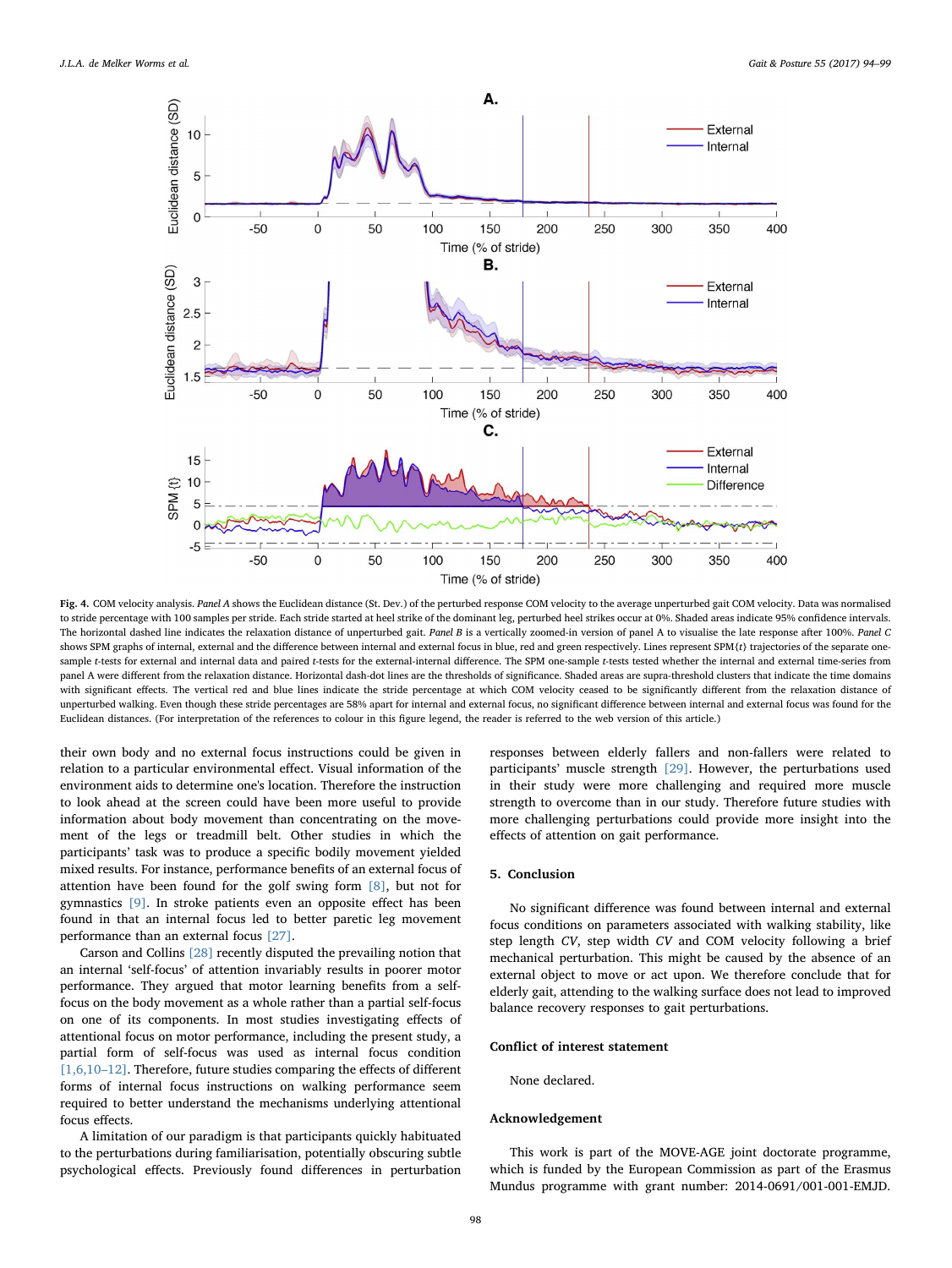<span id="page-4-0"></span>

Fig. 4. COM velocity analysis. Panel A shows the Euclidean distance (St. Dev.) of the perturbed response COM velocity to the average unperturbed gait COM velocity. Data was normalised to stride percentage with 100 samples per stride. Each stride started at heel strike of the dominant leg, perturbed heel strikes occur at 0%. Shaded areas indicate 95% confidence intervals. The horizontal dashed line indicates the relaxation distance of unperturbed gait. Panel B is a vertically zoomed-in version of panel A to visualise the late response after 100%. Panel C shows SPM graphs of internal, external and the difference between internal and external focus in blue, red and green respectively. Lines represent SPM{t} trajectories of the separate onesample t-tests for external and internal data and paired t-tests for the external-internal difference. The SPM one-sample t-tests tested whether the internal and external time-series from panel A were different from the relaxation distance. Horizontal dash-dot lines are the thresholds of significance. Shaded areas are supra-threshold clusters that indicate the time domains with significant effects. The vertical red and blue lines indicate the stride percentage at which COM velocity ceased to be significantly different from the relaxation distance of unperturbed walking. Even though these stride percentages are 58% apart for internal and external focus, no significant difference between internal and external focus was found for the Euclidean distances. (For interpretation of the references to colour in this figure legend, the reader is referred to the web version of this article.)

their own body and no external focus instructions could be given in relation to a particular environmental effect. Visual information of the environment aids to determine one's location. Therefore the instruction to look ahead at the screen could have been more useful to provide information about body movement than concentrating on the movement of the legs or treadmill belt. Other studies in which the participants' task was to produce a specific bodily movement yielded mixed results. For instance, performance benefits of an external focus of attention have been found for the golf swing form [\[8\],](#page-5-19) but not for gymnastics [\[9\].](#page-5-20) In stroke patients even an opposite effect has been found in that an internal focus led to better paretic leg movement performance than an external focus [\[27\].](#page-5-21)

Carson and Collins [\[28\]](#page-5-22) recently disputed the prevailing notion that an internal 'self-focus' of attention invariably results in poorer motor performance. They argued that motor learning benefits from a selffocus on the body movement as a whole rather than a partial self-focus on one of its components. In most studies investigating effects of attentional focus on motor performance, including the present study, a partial form of self-focus was used as internal focus condition [\[1,6,10](#page-5-0)–12]. Therefore, future studies comparing the effects of different forms of internal focus instructions on walking performance seem required to better understand the mechanisms underlying attentional focus effects.

A limitation of our paradigm is that participants quickly habituated to the perturbations during familiarisation, potentially obscuring subtle psychological effects. Previously found differences in perturbation

responses between elderly fallers and non-fallers were related to participants' muscle strength [\[29\]](#page-5-23). However, the perturbations used in their study were more challenging and required more muscle strength to overcome than in our study. Therefore future studies with more challenging perturbations could provide more insight into the effects of attention on gait performance.

### 5. Conclusion

No significant difference was found between internal and external focus conditions on parameters associated with walking stability, like step length CV, step width CV and COM velocity following a brief mechanical perturbation. This might be caused by the absence of an external object to move or act upon. We therefore conclude that for elderly gait, attending to the walking surface does not lead to improved balance recovery responses to gait perturbations.

#### Conflict of interest statement

None declared.

#### Acknowledgement

This work is part of the MOVE-AGE joint doctorate programme, which is funded by the European Commission as part of the Erasmus Mundus programme with grant number: 2014-0691/001-001-EMJD.